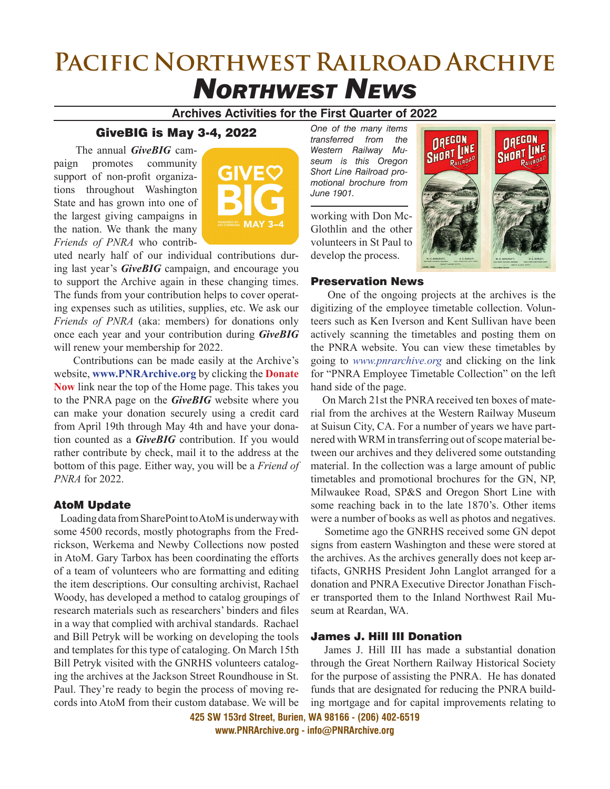# **Pacific Northwest Railroad Archive** *Northwest News*

## **Archives Activities for the First Quarter of 2022**

# GiveBIG is May 3-4, 2022

 The annual *GiveBIG* campaign promotes community support of non-profit organizations throughout Washington State and has grown into one of the largest giving campaigns in the nation. We thank the many *Friends of PNRA* who contrib-



uted nearly half of our individual contributions during last year's *GiveBIG* campaign, and encourage you to support the Archive again in these changing times. The funds from your contribution helps to cover operating expenses such as utilities, supplies, etc. We ask our *Friends of PNRA* (aka: members) for donations only once each year and your contribution during *GiveBIG* will renew your membership for 2022.

 Contributions can be made easily at the Archive's website, **www.PNRArchive.org** by clicking the **Donate Now** link near the top of the Home page. This takes you to the PNRA page on the *GiveBIG* website where you can make your donation securely using a credit card from April 19th through May 4th and have your donation counted as a *GiveBIG* contribution. If you would rather contribute by check, mail it to the address at the bottom of this page. Either way, you will be a *Friend of PNRA* for 2022.

#### AtoM Update

 Loading data from SharePoint to AtoM is underway with some 4500 records, mostly photographs from the Fredrickson, Werkema and Newby Collections now posted in AtoM. Gary Tarbox has been coordinating the efforts of a team of volunteers who are formatting and editing the item descriptions. Our consulting archivist, Rachael Woody, has developed a method to catalog groupings of research materials such as researchers' binders and files in a way that complied with archival standards. Rachael and Bill Petryk will be working on developing the tools and templates for this type of cataloging. On March 15th Bill Petryk visited with the GNRHS volunteers cataloging the archives at the Jackson Street Roundhouse in St. Paul. They're ready to begin the process of moving records into AtoM from their custom database. We will be

*One of the many items transferred from the Western Railway Museum is this Oregon Short Line Railroad promotional brochure from June 1901.*

working with Don Mc-Glothlin and the other volunteers in St Paul to develop the process.



#### Preservation News

 One of the ongoing projects at the archives is the digitizing of the employee timetable collection. Volunteers such as Ken Iverson and Kent Sullivan have been actively scanning the timetables and posting them on the PNRA website. You can view these timetables by going to *www.pnrarchive.org* and clicking on the link for "PNRA Employee Timetable Collection" on the left hand side of the page.

 On March 21st the PNRA received ten boxes of material from the archives at the Western Railway Museum at Suisun City, CA. For a number of years we have partnered with WRM in transferring out of scope material between our archives and they delivered some outstanding material. In the collection was a large amount of public timetables and promotional brochures for the GN, NP, Milwaukee Road, SP&S and Oregon Short Line with some reaching back in to the late 1870's. Other items were a number of books as well as photos and negatives.

 Sometime ago the GNRHS received some GN depot signs from eastern Washington and these were stored at the archives. As the archives generally does not keep artifacts, GNRHS President John Langlot arranged for a donation and PNRA Executive Director Jonathan Fischer transported them to the Inland Northwest Rail Museum at Reardan, WA.

#### James J. Hill III Donation

 James J. Hill III has made a substantial donation through the Great Northern Railway Historical Society for the purpose of assisting the PNRA. He has donated funds that are designated for reducing the PNRA building mortgage and for capital improvements relating to

**425 SW 153rd Street, Burien, WA 98166 - (206) 402-6519 www.PNRArchive.org - info@PNRArchive.org**